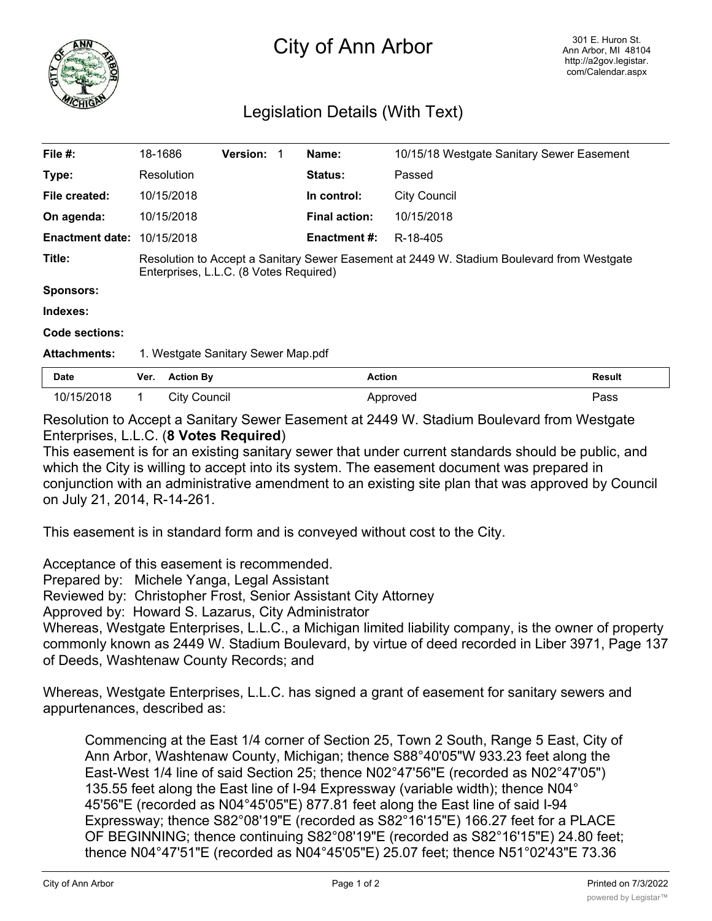

## City of Ann Arbor

## Legislation Details (With Text)

| File $#$ :             | 18-1686                                                                                                                             |                     | <b>Version:</b> |  | Name:                | 10/15/18 Westgate Sanitary Sewer Easement |               |
|------------------------|-------------------------------------------------------------------------------------------------------------------------------------|---------------------|-----------------|--|----------------------|-------------------------------------------|---------------|
| Type:                  |                                                                                                                                     | Resolution          |                 |  | Status:              | Passed                                    |               |
| File created:          |                                                                                                                                     | 10/15/2018          |                 |  | In control:          | <b>City Council</b>                       |               |
| On agenda:             |                                                                                                                                     | 10/15/2018          |                 |  | <b>Final action:</b> | 10/15/2018                                |               |
| <b>Enactment date:</b> |                                                                                                                                     | 10/15/2018          |                 |  | <b>Enactment #:</b>  | R-18-405                                  |               |
| Title:                 | Resolution to Accept a Sanitary Sewer Easement at 2449 W. Stadium Boulevard from Westgate<br>Enterprises, L.L.C. (8 Votes Required) |                     |                 |  |                      |                                           |               |
| <b>Sponsors:</b>       |                                                                                                                                     |                     |                 |  |                      |                                           |               |
| Indexes:               |                                                                                                                                     |                     |                 |  |                      |                                           |               |
| Code sections:         |                                                                                                                                     |                     |                 |  |                      |                                           |               |
| <b>Attachments:</b>    | 1. Westgate Sanitary Sewer Map.pdf                                                                                                  |                     |                 |  |                      |                                           |               |
| <b>Date</b>            | Ver.                                                                                                                                | <b>Action By</b>    |                 |  | <b>Action</b>        |                                           | <b>Result</b> |
| 10/15/2018             | 1.                                                                                                                                  | <b>City Council</b> |                 |  |                      | Approved                                  | Pass          |

Resolution to Accept a Sanitary Sewer Easement at 2449 W. Stadium Boulevard from Westgate Enterprises, L.L.C. (**8 Votes Required**)

This easement is for an existing sanitary sewer that under current standards should be public, and which the City is willing to accept into its system. The easement document was prepared in conjunction with an administrative amendment to an existing site plan that was approved by Council on July 21, 2014, R-14-261.

This easement is in standard form and is conveyed without cost to the City.

Acceptance of this easement is recommended.

Prepared by: Michele Yanga, Legal Assistant

Reviewed by: Christopher Frost, Senior Assistant City Attorney

Approved by: Howard S. Lazarus, City Administrator

Whereas, Westgate Enterprises, L.L.C., a Michigan limited liability company, is the owner of property commonly known as 2449 W. Stadium Boulevard, by virtue of deed recorded in Liber 3971, Page 137 of Deeds, Washtenaw County Records; and

Whereas, Westgate Enterprises, L.L.C. has signed a grant of easement for sanitary sewers and appurtenances, described as:

Commencing at the East 1/4 corner of Section 25, Town 2 South, Range 5 East, City of Ann Arbor, Washtenaw County, Michigan; thence S88°40'05"W 933.23 feet along the East-West 1/4 line of said Section 25; thence N02°47'56"E (recorded as N02°47'05") 135.55 feet along the East line of I-94 Expressway (variable width); thence N04° 45'56"E (recorded as N04°45'05"E) 877.81 feet along the East line of said I-94 Expressway; thence S82°08'19"E (recorded as S82°16'15"E) 166.27 feet for a PLACE OF BEGINNING; thence continuing S82°08'19"E (recorded as S82°16'15"E) 24.80 feet; thence N04°47'51"E (recorded as N04°45'05"E) 25.07 feet; thence N51°02'43"E 73.36